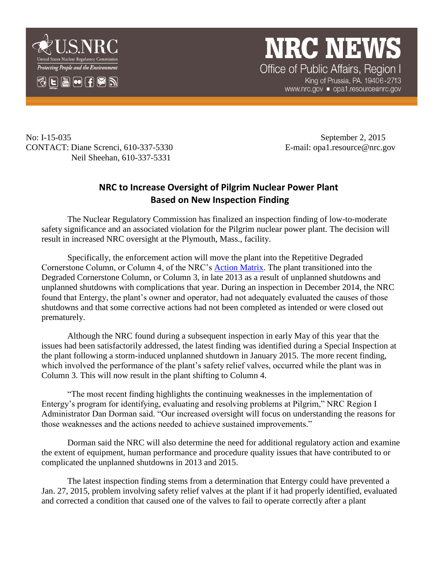

## **NRC NEWS** Office of Public Affairs, Region I

King of Prussia, PA. 19406-2713 www.nrc.gov ■ opa1.resource@nrc.gov

No: I-15-035 September 2, 2015 CONTACT: Diane Screnci, 610-337-5330 E-mail: opa1.resource@nrc.gov Neil Sheehan, 610-337-5331

## **NRC to Increase Oversight of Pilgrim Nuclear Power Plant Based on New Inspection Finding**

The Nuclear Regulatory Commission has finalized an inspection finding of low-to-moderate safety significance and an associated violation for the Pilgrim nuclear power plant. The decision will result in increased NRC oversight at the Plymouth, Mass., facility.

Specifically, the enforcement action will move the plant into the Repetitive Degraded Cornerstone Column, or Column 4, of the NRC's [Action Matrix.](http://www.nrc.gov/NRR/OVERSIGHT/ASSESS/actionmatrix_summary.html) The plant transitioned into the Degraded Cornerstone Column, or Column 3, in late 2013 as a result of unplanned shutdowns and unplanned shutdowns with complications that year. During an inspection in December 2014, the NRC found that Entergy, the plant's owner and operator, had not adequately evaluated the causes of those shutdowns and that some corrective actions had not been completed as intended or were closed out prematurely.

Although the NRC found during a subsequent inspection in early May of this year that the issues had been satisfactorily addressed, the latest finding was identified during a Special Inspection at the plant following a storm-induced unplanned shutdown in January 2015. The more recent finding, which involved the performance of the plant's safety relief valves, occurred while the plant was in Column 3. This will now result in the plant shifting to Column 4.

"The most recent finding highlights the continuing weaknesses in the implementation of Entergy's program for identifying, evaluating and resolving problems at Pilgrim," NRC Region I Administrator Dan Dorman said. "Our increased oversight will focus on understanding the reasons for those weaknesses and the actions needed to achieve sustained improvements."

Dorman said the NRC will also determine the need for additional regulatory action and examine the extent of equipment, human performance and procedure quality issues that have contributed to or complicated the unplanned shutdowns in 2013 and 2015.

The latest inspection finding stems from a determination that Entergy could have prevented a Jan. 27, 2015, problem involving safety relief valves at the plant if it had properly identified, evaluated and corrected a condition that caused one of the valves to fail to operate correctly after a plant